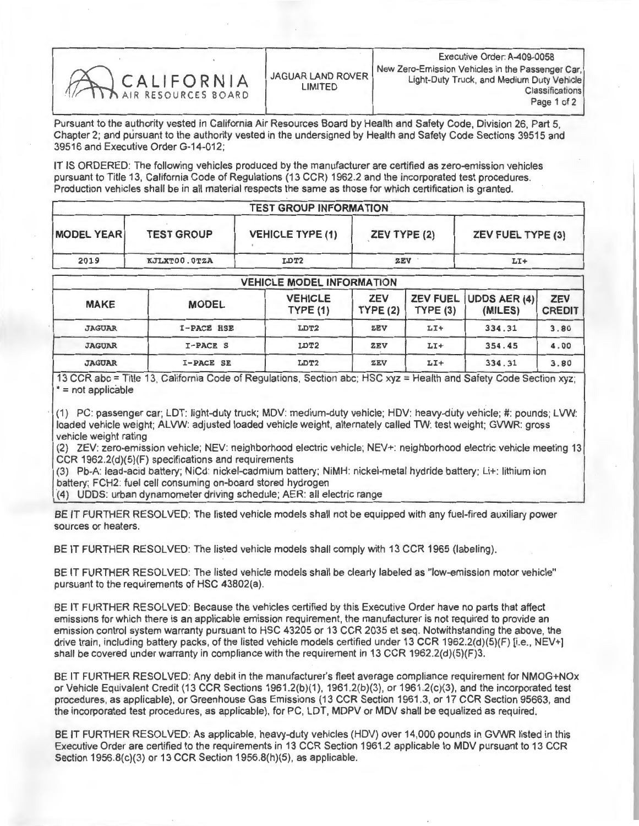| CALIFORNIA |
|------------|
|            |
|            |
|            |
|            |

Pursuant to the authority vested in California Air Resources Board by Health and Safety Code, Division 26, Part 5, Chapter 2; and pursuant to the authority vested in the undersigned by Health and Safety Code Sections 39515 and 39516 and Executive Order G-14-012;

IT IS ORDERED: The following vehicles produced by the manufacturer are certified as zero-emission vehicles pursuant to Title 13, California Code of Regulations (13 CCR) 1962.2 and the incorporated test procedures. Production vehicles shall be in all material respects the same as those for which certification is granted.

| <b>TEST GROUP INFORMATION</b> |                   |                         |              |                          |  |  |
|-------------------------------|-------------------|-------------------------|--------------|--------------------------|--|--|
| <b>MODEL YEAR</b>             | <b>TEST GROUP</b> | <b>VEHICLE TYPE (1)</b> | ZEV TYPE (2) | <b>ZEV FUEL TYPE (3)</b> |  |  |
| 2019                          | KJLXT00.0TZA      | LDT2                    | <b>ZEV</b>   | $L1+$                    |  |  |

| <b>VEHICLE MODEL INFORMATION</b> |                   |                           |                       |         |                                  |                             |  |
|----------------------------------|-------------------|---------------------------|-----------------------|---------|----------------------------------|-----------------------------|--|
| <b>MAKE</b>                      | <b>MODEL</b>      | <b>VEHICLE</b><br>TYPE(1) | <b>ZEV</b><br>TYPE(2) | TYPE(3) | ZEV FUEL UDDS AER (4)<br>(MILES) | <b>ZEV</b><br><b>CREDIT</b> |  |
| <b>JAGUAR</b>                    | <b>I-PACE HSE</b> | LDT2                      | ZEV                   | $LT+$   | 334.31                           | 3.80                        |  |
| <b>JAGUAR</b>                    | I-PACE S          | LDT2                      | <b>ZEV</b>            | $LT+$   | 354.45                           | 4.00                        |  |
| <b>JAGUAR</b>                    | I-PACE SE         | LDT2                      | <b>ZEV</b>            | $LI+$   | 334.31                           | 3.80                        |  |

13 CCR abc = Title 13, California Code of Regulations, Section abc; HSC xyz = Health and Safety Code Section xyz; \* = not applicable

(1) PC: passenger car; LDT: light-duty truck; MDV: medium-duty vehicle; HDV: heavy-duty vehicle; #: pounds; LVW: loaded vehicle weight; ALVW: adjusted loaded vehicle weight, alternately called TW: test weight; GVWR: gross vehicle weight rating

(2) ZEV: zero-emission vehicle; NEV: neighborhood electric vehicle; NEV+: neighborhood electric vehicle meeting 13 CCR 1962.2(d)(5)(F) specifications and requirements

(3) Pb-A: lead-acid battery; NiCd: nickel-cadmium battery; NiMH: nickel-metal hydride battery; Lit: lithium ion battery; FCH2: fuel cell consuming on-board stored hydrogen

(4) UDDS: urban dynamometer driving schedule; AER: all electric range

BE IT FURTHER RESOLVED: The listed vehicle models shall not be equipped with any fuel-fired auxiliary power sources or heaters.

BE IT FURTHER RESOLVED: The listed vehicle models shall comply with 13 CCR 1965 (labeling).

BE IT FURTHER RESOLVED: The listed vehicle models shall be clearly labeled as "low-emission motor vehicle" pursuant to the requirements of HSC 43802(a).

BE IT FURTHER RESOLVED: Because the vehicles certified by this Executive Order have no parts that affect emissions for which there is an applicable emission requirement, the manufacturer is not required to provide an emission control system warranty pursuant to HSC 43205 or 13 CCR 2035 et seq. Notwithstanding the above, the drive train, including battery packs, of the listed vehicle models certified under 13 CCR 1962.2(d)(5)(F) [i.e., NEV+] shall be covered under warranty in compliance with the requirement in 13 CCR 1962.2(d)(5)(F)3.

BE IT FURTHER RESOLVED: Any debit in the manufacturer's fleet average compliance requirement for NMOG+NOx or Vehicle Equivalent Credit (13 CCR Sections 1961.2(b)(1), 1961.2(b)(3), or 1961.2(c)(3), and the incorporated test procedures, as applicable), or Greenhouse Gas Emissions (13 CCR Section 1961.3, or 17 CCR Section 95663, and the incorporated test procedures, as applicable), for PC, LDT, MDPV or MDV shall be equalized as required.

BE IT FURTHER RESOLVED: As applicable, heavy-duty vehicles (HDV) over 14,000 pounds in GVWR listed in this Executive Order are certified to the requirements in 13 CCR Section 1961.2 applicable to MDV pursuant to 13 CCR Section 1956.8(c)(3) or 13 CCR Section 1956.8(h)(5), as applicable.